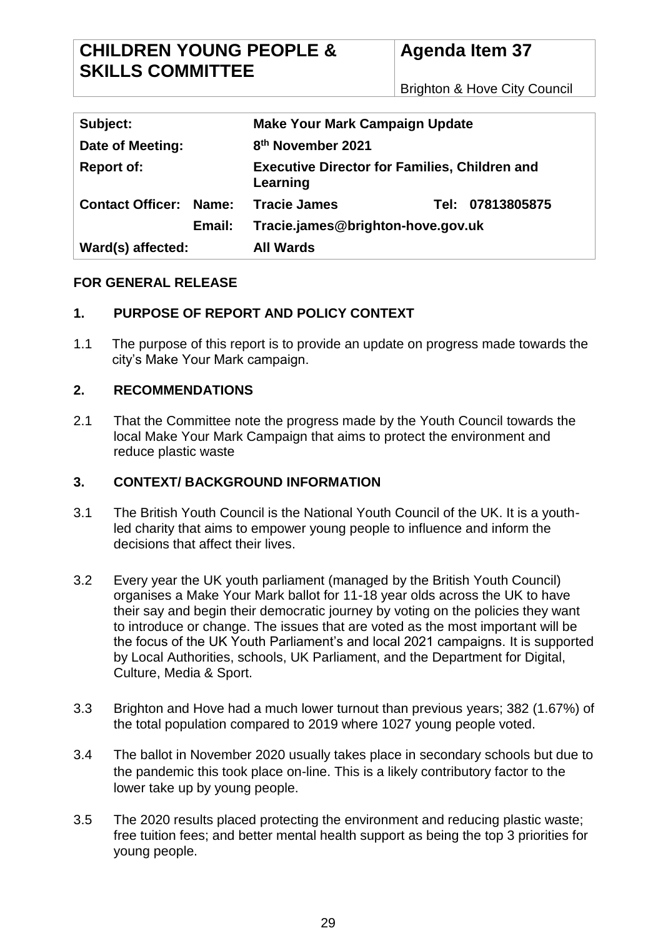Brighton & Hove City Council

| Subject:                |       | <b>Make Your Mark Campaign Update</b>                            |                                   |  |
|-------------------------|-------|------------------------------------------------------------------|-----------------------------------|--|
| Date of Meeting:        |       | 8 <sup>th</sup> November 2021                                    |                                   |  |
| <b>Report of:</b>       |       | <b>Executive Director for Families, Children and</b><br>Learning |                                   |  |
| <b>Contact Officer:</b> | Name: | <b>Tracie James</b>                                              | Tel: 07813805875                  |  |
| Email:                  |       |                                                                  | Tracie.james@brighton-hove.gov.uk |  |
| Ward(s) affected:       |       | <b>All Wards</b>                                                 |                                   |  |

#### **FOR GENERAL RELEASE**

## **1. PURPOSE OF REPORT AND POLICY CONTEXT**

1.1 The purpose of this report is to provide an update on progress made towards the city's Make Your Mark campaign.

#### **2. RECOMMENDATIONS**

2.1 That the Committee note the progress made by the Youth Council towards the local Make Your Mark Campaign that aims to protect the environment and reduce plastic waste

#### **3. CONTEXT/ BACKGROUND INFORMATION**

- 3.1 The British Youth Council is the National Youth Council of the UK. It is a youthled charity that aims to empower young people to influence and inform the decisions that affect their lives.
- 3.2 Every year the UK youth parliament (managed by the British Youth Council) organises a Make Your Mark ballot for 11-18 year olds across the UK to have their say and begin their democratic journey by voting on the policies they want to introduce or change. The issues that are voted as the most important will be the focus of the UK Youth Parliament's and local 2021 campaigns. It is supported by Local Authorities, schools, UK Parliament, and the Department for Digital, Culture, Media & Sport.
- 3.3 Brighton and Hove had a much lower turnout than previous years; 382 (1.67%) of the total population compared to 2019 where 1027 young people voted.
- 3.4 The ballot in November 2020 usually takes place in secondary schools but due to the pandemic this took place on-line. This is a likely contributory factor to the lower take up by young people.
- 3.5 The 2020 results placed protecting the environment and reducing plastic waste; free tuition fees; and better mental health support as being the top 3 priorities for young people.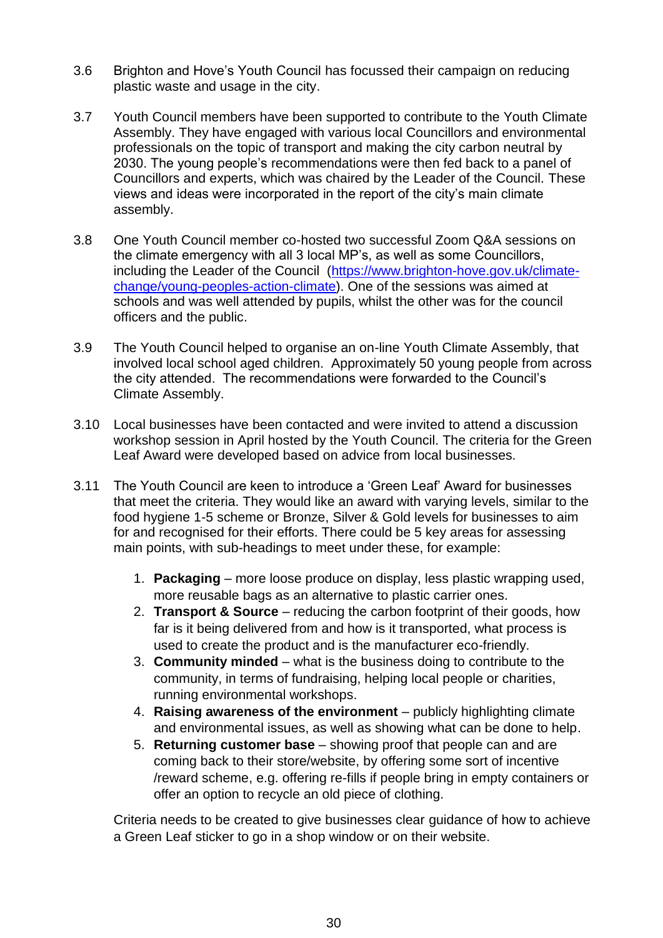- 3.6 Brighton and Hove's Youth Council has focussed their campaign on reducing plastic waste and usage in the city.
- 3.7 Youth Council members have been supported to contribute to the Youth Climate Assembly. They have engaged with various local Councillors and environmental professionals on the topic of transport and making the city carbon neutral by 2030. The young people's recommendations were then fed back to a panel of Councillors and experts, which was chaired by the Leader of the Council. These views and ideas were incorporated in the report of the city's main climate assembly.
- 3.8 One Youth Council member co-hosted two successful Zoom Q&A sessions on the climate emergency with all 3 local MP's, as well as some Councillors, including the Leader of the Council [\(https://www.brighton-hove.gov.uk/climate](https://www.brighton-hove.gov.uk/climate-change/young-peoples-action-climate)[change/young-peoples-action-climate\)](https://www.brighton-hove.gov.uk/climate-change/young-peoples-action-climate). One of the sessions was aimed at schools and was well attended by pupils, whilst the other was for the council officers and the public.
- 3.9 The Youth Council helped to organise an on-line Youth Climate Assembly, that involved local school aged children. Approximately 50 young people from across the city attended. The recommendations were forwarded to the Council's Climate Assembly.
- 3.10 Local businesses have been contacted and were invited to attend a discussion workshop session in April hosted by the Youth Council. The criteria for the Green Leaf Award were developed based on advice from local businesses.
- 3.11 The Youth Council are keen to introduce a 'Green Leaf' Award for businesses that meet the criteria. They would like an award with varying levels, similar to the food hygiene 1-5 scheme or Bronze, Silver & Gold levels for businesses to aim for and recognised for their efforts. There could be 5 key areas for assessing main points, with sub-headings to meet under these, for example:
	- 1. **Packaging** more loose produce on display, less plastic wrapping used, more reusable bags as an alternative to plastic carrier ones.
	- 2. **Transport & Source**  reducing the carbon footprint of their goods, how far is it being delivered from and how is it transported, what process is used to create the product and is the manufacturer eco-friendly.
	- 3. **Community minded**  what is the business doing to contribute to the community, in terms of fundraising, helping local people or charities, running environmental workshops.
	- 4. **Raising awareness of the environment**  publicly highlighting climate and environmental issues, as well as showing what can be done to help.
	- 5. **Returning customer base**  showing proof that people can and are coming back to their store/website, by offering some sort of incentive /reward scheme, e.g. offering re-fills if people bring in empty containers or offer an option to recycle an old piece of clothing.

Criteria needs to be created to give businesses clear guidance of how to achieve a Green Leaf sticker to go in a shop window or on their website.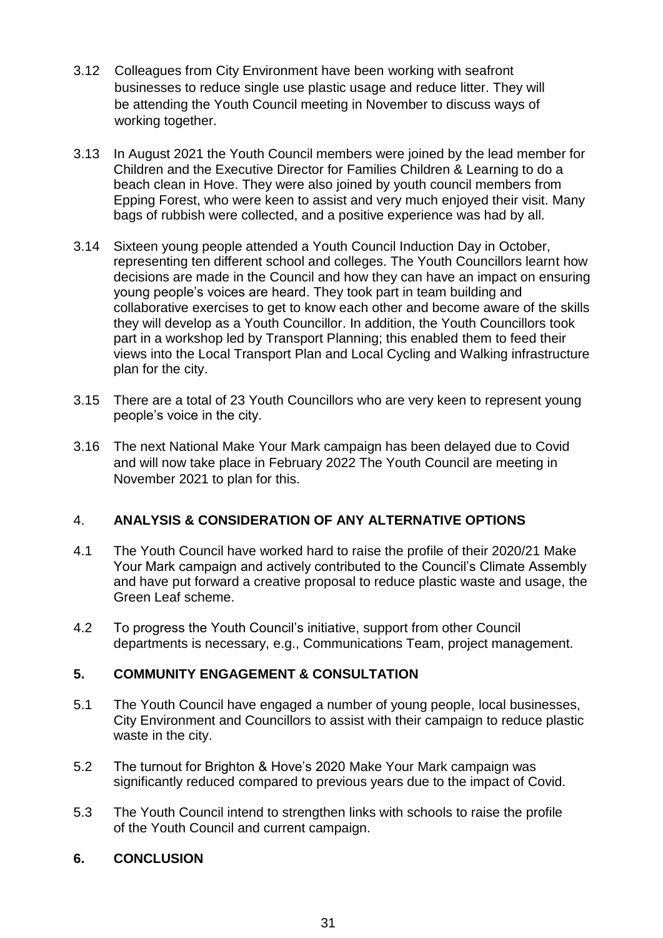- 3.12 Colleagues from City Environment have been working with seafront businesses to reduce single use plastic usage and reduce litter. They will be attending the Youth Council meeting in November to discuss ways of working together.
- 3.13 In August 2021 the Youth Council members were joined by the lead member for Children and the Executive Director for Families Children & Learning to do a beach clean in Hove. They were also joined by youth council members from Epping Forest, who were keen to assist and very much enjoyed their visit. Many bags of rubbish were collected, and a positive experience was had by all.
- 3.14 Sixteen young people attended a Youth Council Induction Day in October, representing ten different school and colleges. The Youth Councillors learnt how decisions are made in the Council and how they can have an impact on ensuring young people's voices are heard. They took part in team building and collaborative exercises to get to know each other and become aware of the skills they will develop as a Youth Councillor. In addition, the Youth Councillors took part in a workshop led by Transport Planning; this enabled them to feed their views into the Local Transport Plan and Local Cycling and Walking infrastructure plan for the city.
- 3.15 There are a total of 23 Youth Councillors who are very keen to represent young people's voice in the city.
- 3.16 The next National Make Your Mark campaign has been delayed due to Covid and will now take place in February 2022 The Youth Council are meeting in November 2021 to plan for this.

# 4. **ANALYSIS & CONSIDERATION OF ANY ALTERNATIVE OPTIONS**

- 4.1 The Youth Council have worked hard to raise the profile of their 2020/21 Make Your Mark campaign and actively contributed to the Council's Climate Assembly and have put forward a creative proposal to reduce plastic waste and usage, the Green Leaf scheme.
- 4.2 To progress the Youth Council's initiative, support from other Council departments is necessary, e.g., Communications Team, project management.

## **5. COMMUNITY ENGAGEMENT & CONSULTATION**

- 5.1 The Youth Council have engaged a number of young people, local businesses, City Environment and Councillors to assist with their campaign to reduce plastic waste in the city.
- 5.2 The turnout for Brighton & Hove's 2020 Make Your Mark campaign was significantly reduced compared to previous years due to the impact of Covid.
- 5.3 The Youth Council intend to strengthen links with schools to raise the profile of the Youth Council and current campaign.

## **6. CONCLUSION**